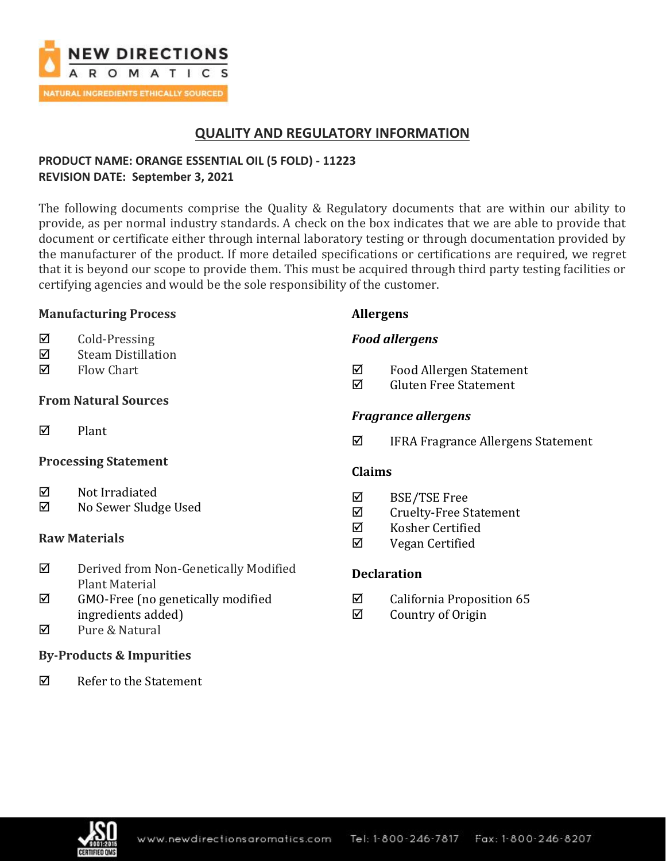

# **QUALITY AND REGULATORY INFORMATION**

## **PRODUCT NAME: ORANGE ESSENTIAL OIL (5 FOLD) - 11223 REVISION DATE: September 3, 2021**

The following documents comprise the Quality & Regulatory documents that are within our ability to provide, as per normal industry standards. A check on the box indicates that we are able to provide that document or certificate either through internal laboratory testing or through documentation provided by the manufacturer of the product. If more detailed specifications or certifications are required, we regret that it is beyond our scope to provide them. This must be acquired through third party testing facilities or certifying agencies and would be the sole responsibility of the customer.

### **Manufacturing Process**

- $\boxtimes$  Cold-Pressing
- $\boxtimes$  Steam Distillation
- $\nabla$  Flow Chart

## **From Natural Sources**

 $\nabla$  Plant

## **Processing Statement**

- $\nabla$  Not Irradiated
- No Sewer Sludge Used

## **Raw Materials**

- Derived from Non-Genetically Modified Plant Material
- $\boxtimes$  GMO-Free (no genetically modified ingredients added)
- **Ø** Pure & Natural

## **By-Products & Impurities**

 $\nabla$  Refer to the Statement

## **Allergens**

## *Food allergens*

- $\boxtimes$  Food Allergen Statement
- $\boxtimes$  Gluten Free Statement

## *Fragrance allergens*

 $\boxtimes$  IFRA Fragrance Allergens Statement

## **Claims**

- BSE/TSE Free
- $\boxtimes$  Cruelty-Free Statement
- $\nabla$  Kosher Certified
- $\boxtimes$  Vegan Certified

## **Declaration**

- $\boxtimes$  California Proposition 65
- $\boxtimes$  Country of Origin

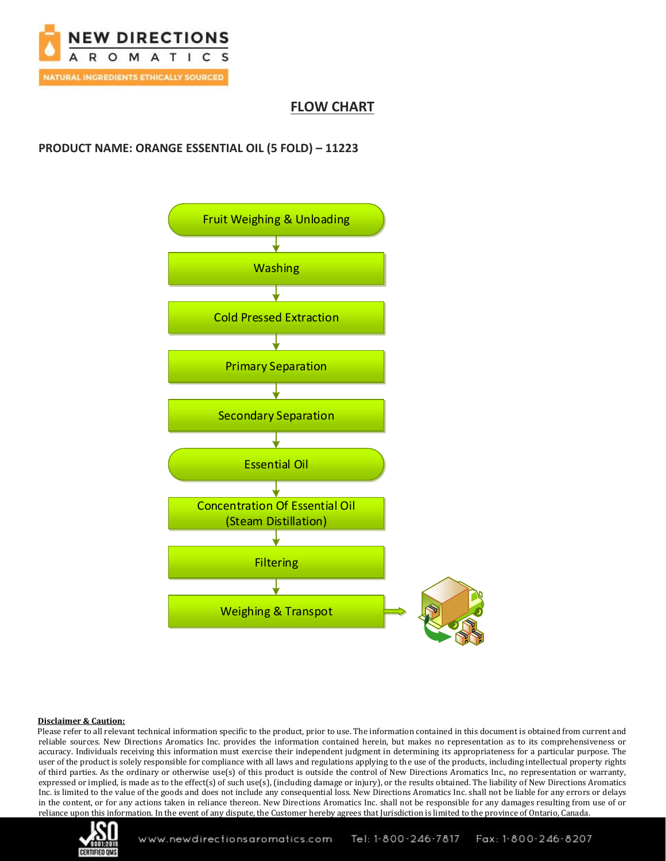

## **FLOW CHART**

### **PRODUCT NAME: ORANGE ESSENTIAL OIL (5 FOLD) – 11223**



### **Disclaimer & Caution:**

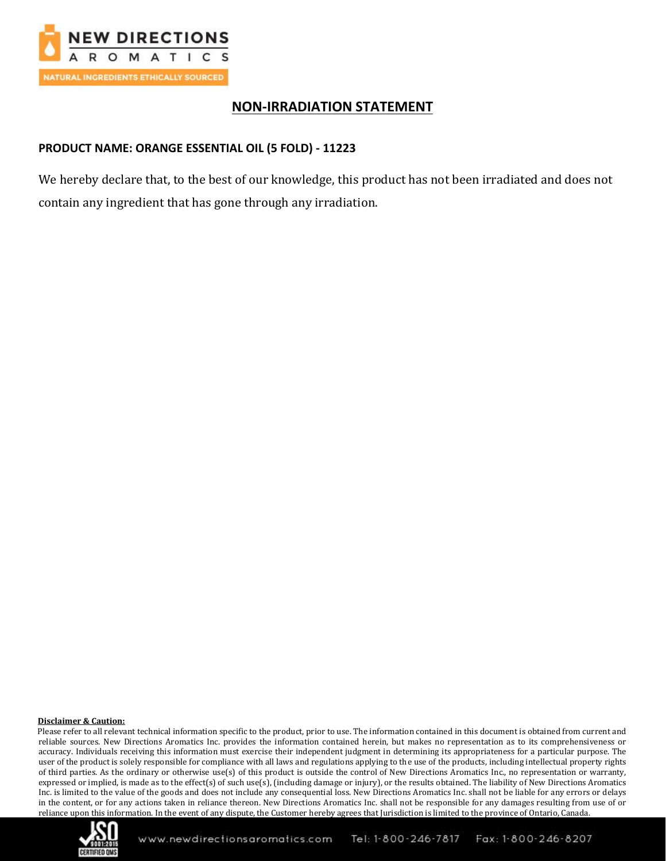

## **NON-IRRADIATION STATEMENT**

## **PRODUCT NAME: ORANGE ESSENTIAL OIL (5 FOLD) - 11223**

We hereby declare that, to the best of our knowledge, this product has not been irradiated and does not contain any ingredient that has gone through any irradiation.

### **Disclaimer & Caution:**

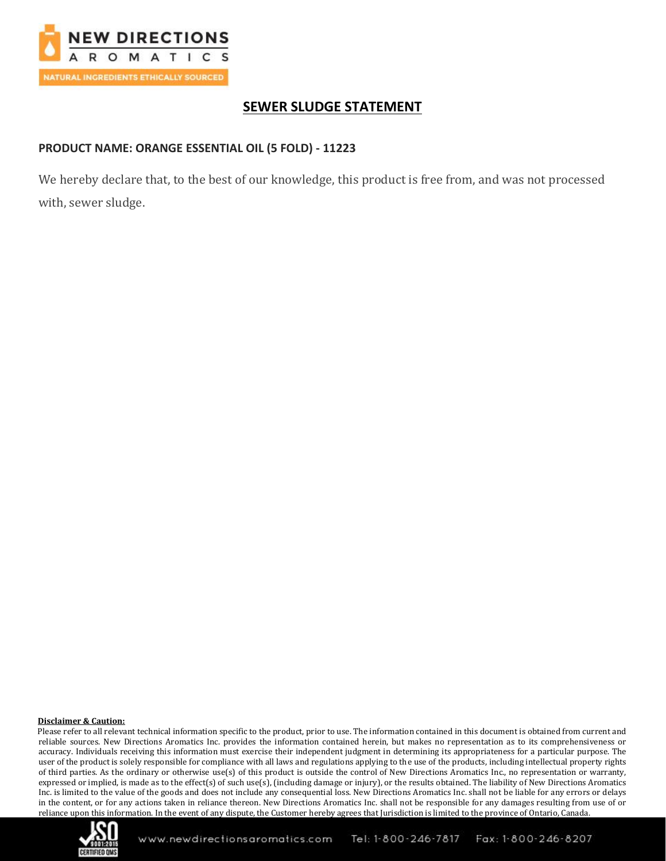

# **SEWER SLUDGE STATEMENT**

## **PRODUCT NAME: ORANGE ESSENTIAL OIL (5 FOLD) - 11223**

We hereby declare that, to the best of our knowledge, this product is free from, and was not processed with, sewer sludge.

### **Disclaimer & Caution:**

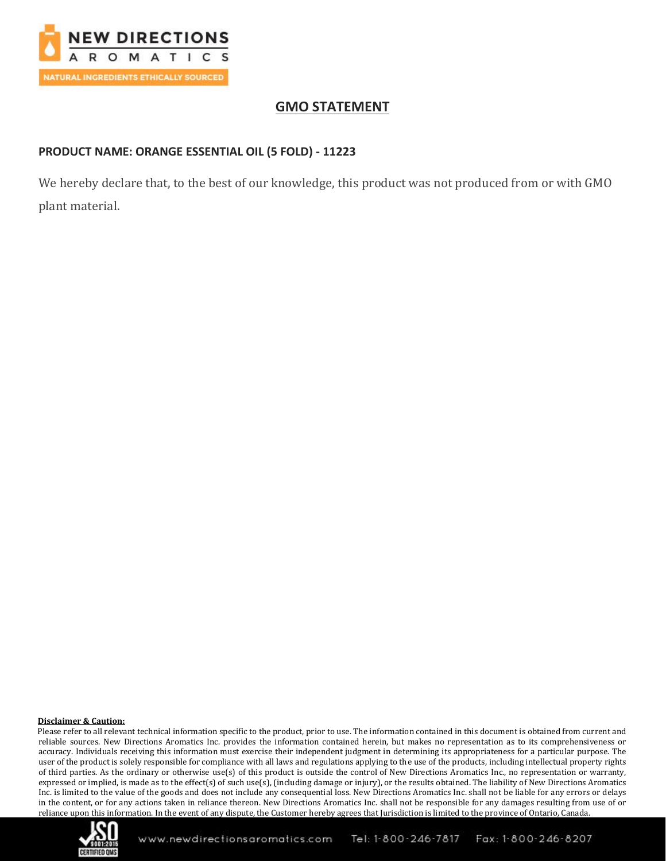

# **GMO STATEMENT**

## **PRODUCT NAME: ORANGE ESSENTIAL OIL (5 FOLD) - 11223**

We hereby declare that, to the best of our knowledge, this product was not produced from or with GMO plant material.

### **Disclaimer & Caution:**

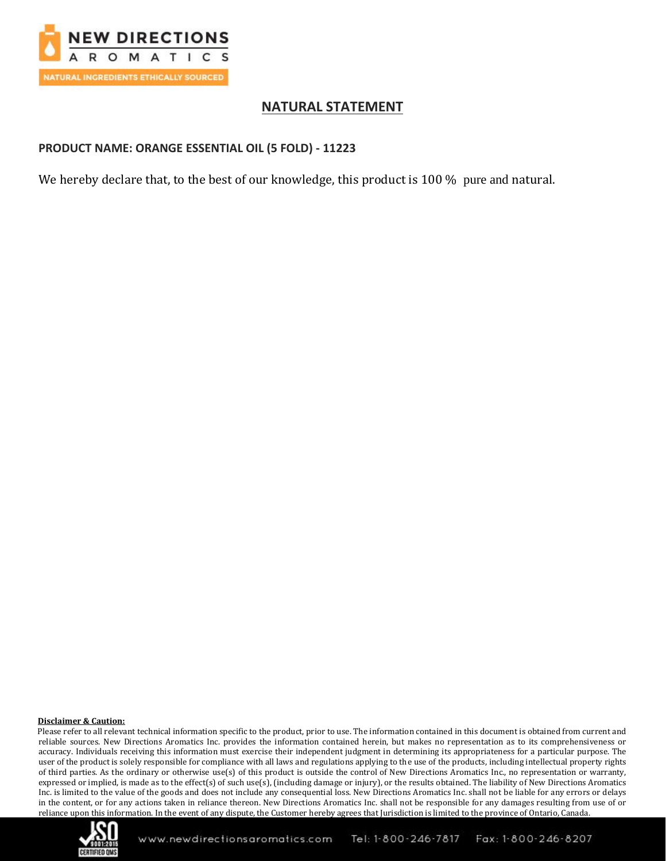

# **NATURAL STATEMENT**

## **PRODUCT NAME: ORANGE ESSENTIAL OIL (5 FOLD) - 11223**

We hereby declare that, to the best of our knowledge, this product is 100 % pure and natural.

### **Disclaimer & Caution:**

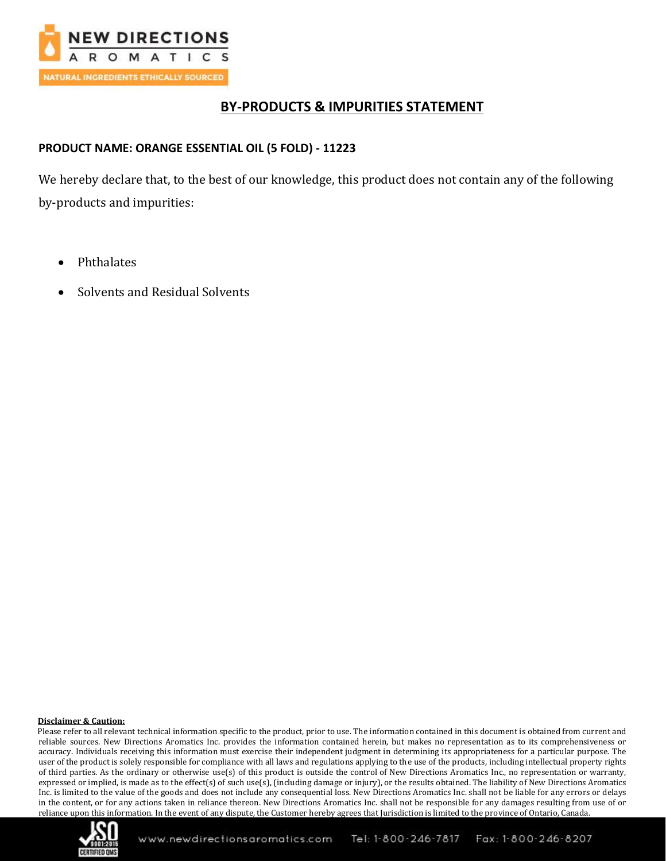

# **BY-PRODUCTS & IMPURITIES STATEMENT**

## **PRODUCT NAME: ORANGE ESSENTIAL OIL (5 FOLD) - 11223**

We hereby declare that, to the best of our knowledge, this product does not contain any of the following by-products and impurities:

- Phthalates
- Solvents and Residual Solvents

### **Disclaimer & Caution:**

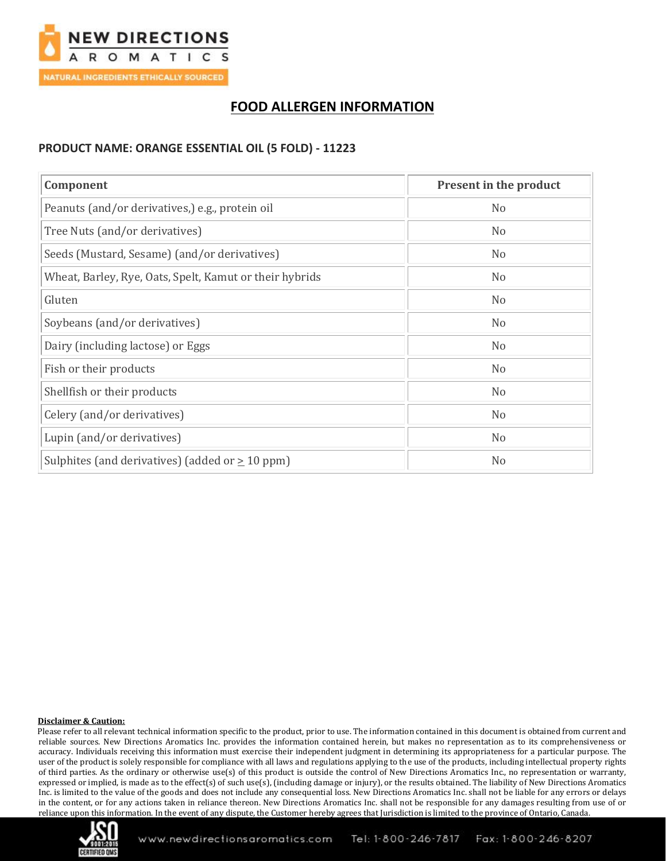

# **FOOD ALLERGEN INFORMATION**

## **PRODUCT NAME: ORANGE ESSENTIAL OIL (5 FOLD) - 11223**

| Component                                               | Present in the product |
|---------------------------------------------------------|------------------------|
| Peanuts (and/or derivatives,) e.g., protein oil         | N <sub>0</sub>         |
| Tree Nuts (and/or derivatives)                          | N <sub>0</sub>         |
| Seeds (Mustard, Sesame) (and/or derivatives)            | N <sub>0</sub>         |
| Wheat, Barley, Rye, Oats, Spelt, Kamut or their hybrids | N <sub>0</sub>         |
| Gluten                                                  | N <sub>0</sub>         |
| Soybeans (and/or derivatives)                           | N <sub>o</sub>         |
| Dairy (including lactose) or Eggs                       | N <sub>o</sub>         |
| Fish or their products                                  | N <sub>0</sub>         |
| Shellfish or their products                             | N <sub>o</sub>         |
| Celery (and/or derivatives)                             | N <sub>o</sub>         |
| Lupin (and/or derivatives)                              | N <sub>o</sub>         |
| Sulphites (and derivatives) (added or $\geq$ 10 ppm)    | N <sub>o</sub>         |

### **Disclaimer & Caution:**

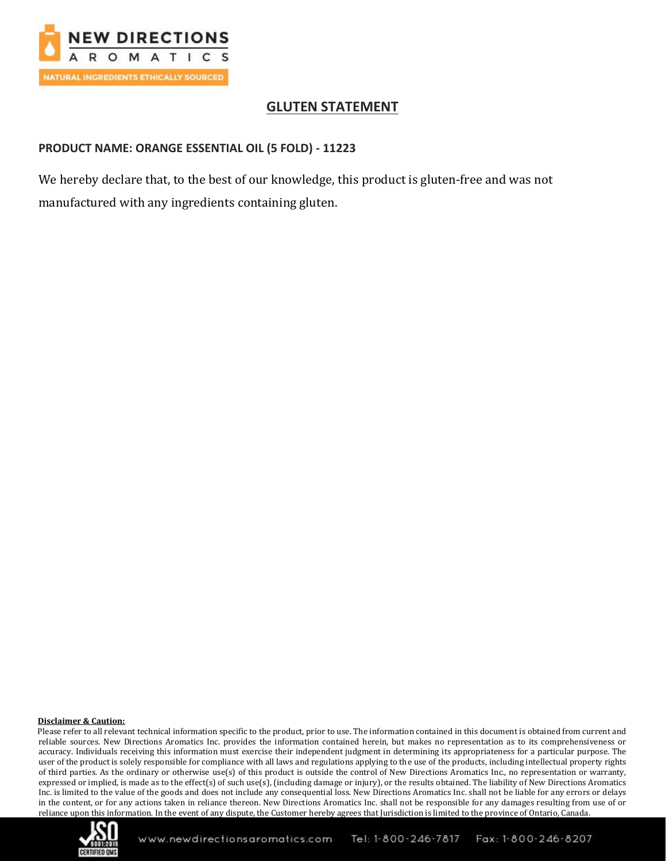

# **GLUTEN STATEMENT**

## **PRODUCT NAME: ORANGE ESSENTIAL OIL (5 FOLD) - 11223**

We hereby declare that, to the best of our knowledge, this product is gluten-free and was not manufactured with any ingredients containing gluten.

### **Disclaimer & Caution:**

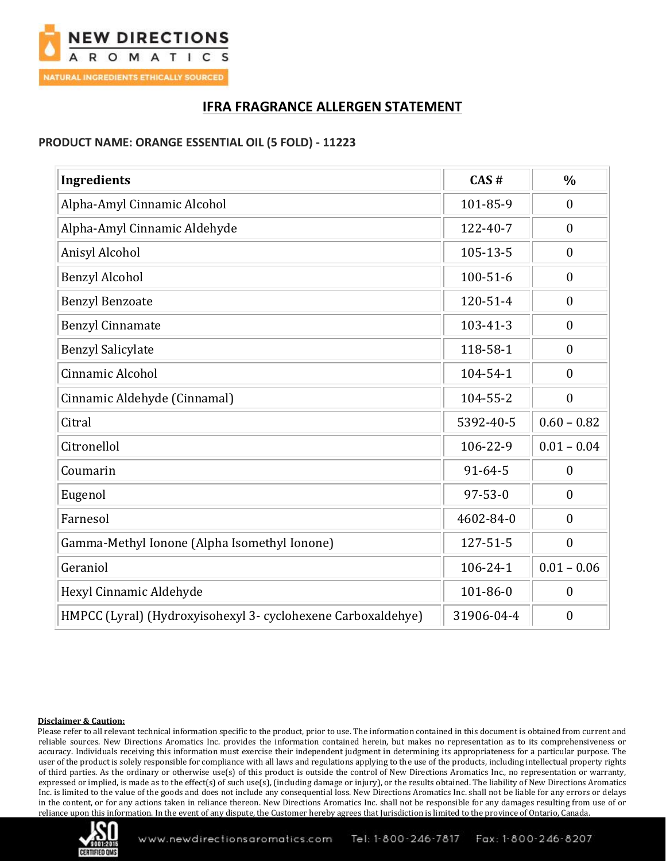

# **IFRA FRAGRANCE ALLERGEN STATEMENT**

## **PRODUCT NAME: ORANGE ESSENTIAL OIL (5 FOLD) - 11223**

| <b>Ingredients</b>                                           | CAS#           | $\frac{0}{0}$    |
|--------------------------------------------------------------|----------------|------------------|
| Alpha-Amyl Cinnamic Alcohol                                  | 101-85-9       | $\theta$         |
| Alpha-Amyl Cinnamic Aldehyde                                 | 122-40-7       | $\boldsymbol{0}$ |
| Anisyl Alcohol                                               | $105 - 13 - 5$ | $\boldsymbol{0}$ |
| <b>Benzyl Alcohol</b>                                        | $100 - 51 - 6$ | $\boldsymbol{0}$ |
| <b>Benzyl Benzoate</b>                                       | 120-51-4       | $\boldsymbol{0}$ |
| <b>Benzyl Cinnamate</b>                                      | $103 - 41 - 3$ | $\boldsymbol{0}$ |
| <b>Benzyl Salicylate</b>                                     | 118-58-1       | $\boldsymbol{0}$ |
| Cinnamic Alcohol                                             | 104-54-1       | $\boldsymbol{0}$ |
| Cinnamic Aldehyde (Cinnamal)                                 | 104-55-2       | $\mathbf{0}$     |
| Citral                                                       | 5392-40-5      | $0.60 - 0.82$    |
| Citronellol                                                  | 106-22-9       | $0.01 - 0.04$    |
| Coumarin                                                     | $91 - 64 - 5$  | $\boldsymbol{0}$ |
| Eugenol                                                      | $97 - 53 - 0$  | $\theta$         |
| Farnesol                                                     | 4602-84-0      | $\theta$         |
| Gamma-Methyl Ionone (Alpha Isomethyl Ionone)                 | 127-51-5       | $\boldsymbol{0}$ |
| Geraniol                                                     | $106 - 24 - 1$ | $0.01 - 0.06$    |
| Hexyl Cinnamic Aldehyde                                      | 101-86-0       | $\boldsymbol{0}$ |
| HMPCC (Lyral) (Hydroxyisohexyl 3- cyclohexene Carboxaldehye) | 31906-04-4     | $\mathbf{0}$     |

### **Disclaimer & Caution:**

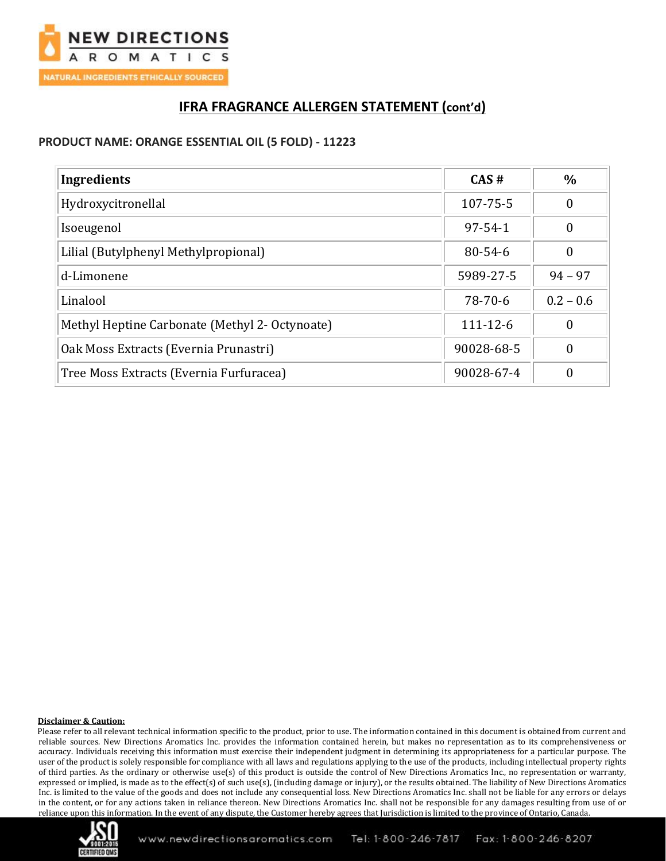

# **IFRA FRAGRANCE ALLERGEN STATEMENT (cont'd)**

### **PRODUCT NAME: ORANGE ESSENTIAL OIL (5 FOLD) - 11223**

| <b>Ingredients</b>                             | CAS#           | $\frac{0}{0}$ |
|------------------------------------------------|----------------|---------------|
| Hydroxycitronellal                             | 107-75-5       | 0             |
| Isoeugenol                                     | $97 - 54 - 1$  | 0             |
| Lilial (Butylphenyl Methylpropional)           | $80 - 54 - 6$  | 0             |
| d-Limonene                                     | 5989-27-5      | $94 - 97$     |
| Linalool                                       | 78-70-6        | $0.2 - 0.6$   |
| Methyl Heptine Carbonate (Methyl 2- Octynoate) | $111 - 12 - 6$ | 0             |
| Oak Moss Extracts (Evernia Prunastri)          | 90028-68-5     | $\Omega$      |
| Tree Moss Extracts (Evernia Furfuracea)        | 90028-67-4     | 0             |

### **Disclaimer & Caution:**

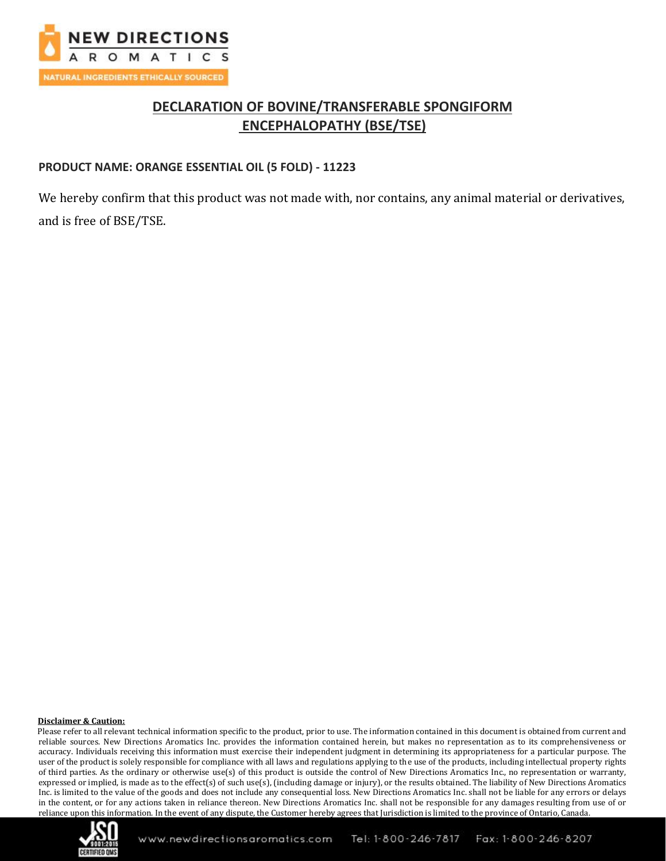

# **DECLARATION OF BOVINE/TRANSFERABLE SPONGIFORM ENCEPHALOPATHY (BSE/TSE)**

## **PRODUCT NAME: ORANGE ESSENTIAL OIL (5 FOLD) - 11223**

We hereby confirm that this product was not made with, nor contains, any animal material or derivatives, and is free of BSE/TSE.

### **Disclaimer & Caution:**

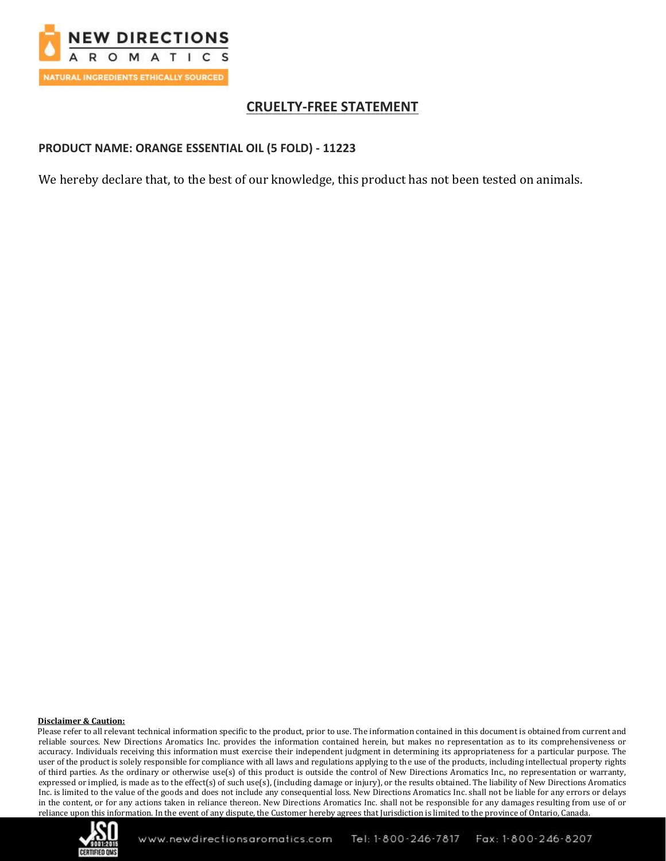

# **CRUELTY-FREE STATEMENT**

## **PRODUCT NAME: ORANGE ESSENTIAL OIL (5 FOLD) - 11223**

We hereby declare that, to the best of our knowledge, this product has not been tested on animals.

### **Disclaimer & Caution:**

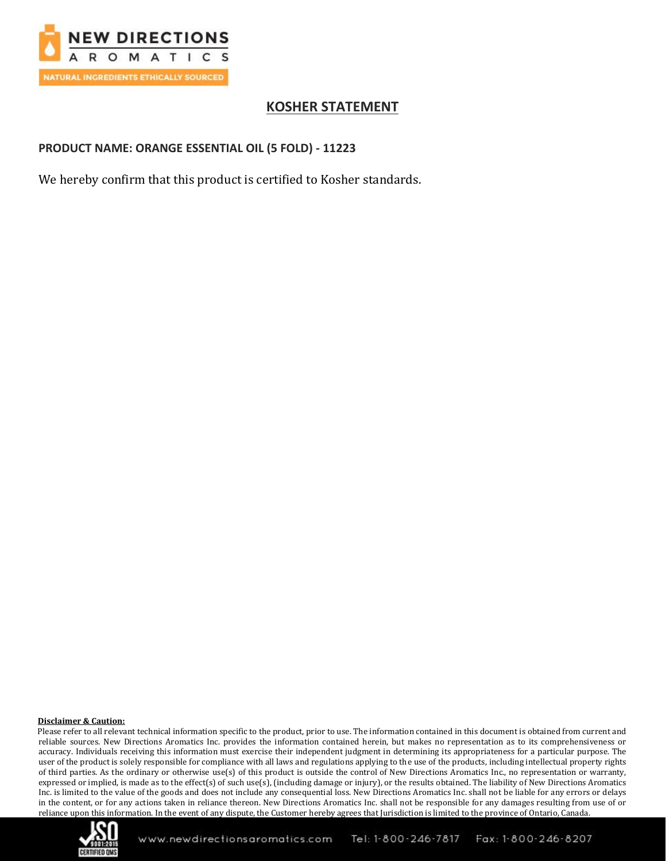

# **KOSHER STATEMENT**

### **PRODUCT NAME: ORANGE ESSENTIAL OIL (5 FOLD) - 11223**

We hereby confirm that this product is certified to Kosher standards.

### **Disclaimer & Caution:**

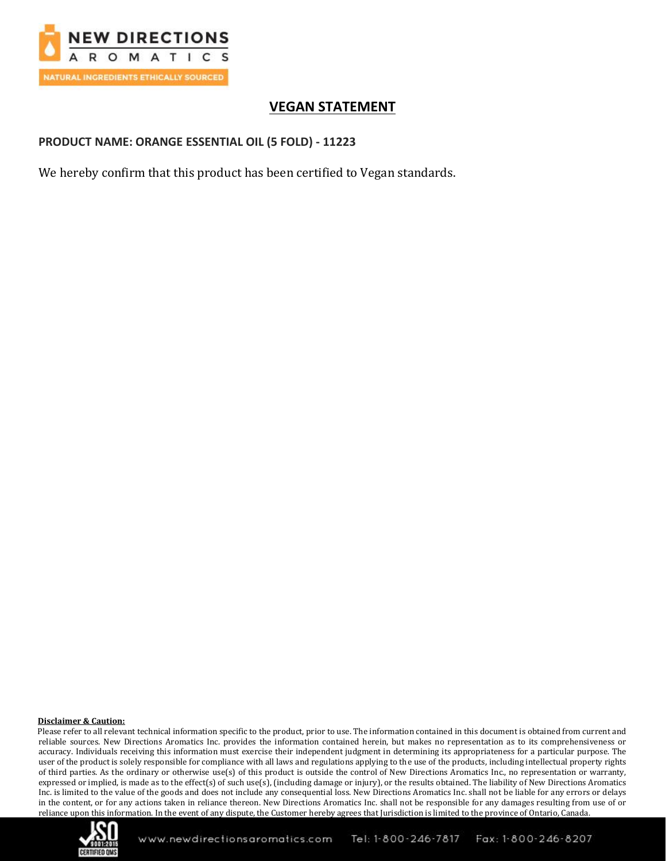

# **VEGAN STATEMENT**

**PRODUCT NAME: ORANGE ESSENTIAL OIL (5 FOLD) - 11223**

We hereby confirm that this product has been certified to Vegan standards.

### **Disclaimer & Caution:**

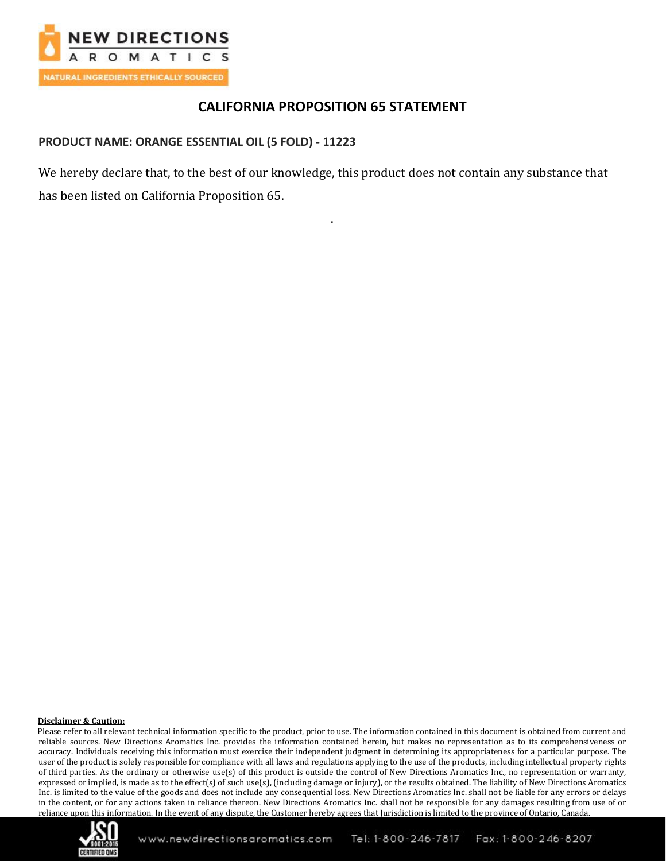

# **CALIFORNIA PROPOSITION 65 STATEMENT**

## **PRODUCT NAME: ORANGE ESSENTIAL OIL (5 FOLD) - 11223**

We hereby declare that, to the best of our knowledge, this product does not contain any substance that has been listed on California Proposition 65.

.

### **Disclaimer & Caution:**